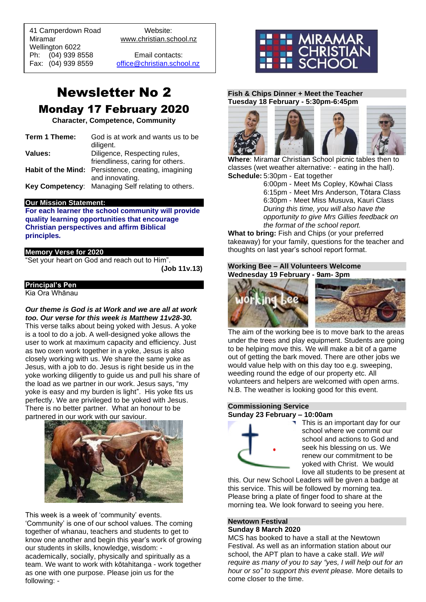41 Camperdown Road Website: Miramar www.christian.school.nz

Wellington 6022 Ph: (04) 939 8558 Email contacts:

 $\overline{a}$ 

Fax: (04) 939 8559 [office@christian.school.nz](mailto:office@christian.school.nz)

# Newsletter No 2 Monday 17 February 2020

**Character, Competence, Community**

| Term 1 Theme: | God is at work and wants us to be<br>diligent.      |
|---------------|-----------------------------------------------------|
| Values:       | Diligence, Respecting rules,                        |
|               | friendliness, caring for others.                    |
|               | Habit of the Mind: Persistence, creating, imagining |
|               | and innovating.                                     |
|               | Key Competency: Managing Self relating to others.   |

## **Our Mission Statement:**

**For each learner the school community will provide quality learning opportunities that encourage Christian perspectives and affirm Biblical principles***.*

## **Memory Verse for 2020**

"Set your heart on God and reach out to Him".

**(Job 11v.13)**

## **Principal's Pen**

Kia Ora Whānau

*Our theme is God is at Work and we are all at work too. Our verse for this week is Matthew 11v28-30.* This verse talks about being yoked with Jesus. A yoke is a tool to do a job. A well-designed yoke allows the user to work at maximum capacity and efficiency. Just as two oxen work together in a yoke, Jesus is also closely working with us. We share the same yoke as Jesus, with a job to do. Jesus is right beside us in the yoke working diligently to guide us and pull his share of the load as we partner in our work. Jesus says, "my yoke is easy and my burden is light". His yoke fits us perfectly. We are privileged to be yoked with Jesus. There is no better partner. What an honour to be partnered in our work with our saviour.



This week is a week of 'community' events. 'Community' is one of our school values. The coming together of whanau, teachers and students to get to know one another and begin this year's work of growing our students in skills, knowledge, wisdom: academically, socially, physically and spiritually as a team. We want to work with kōtahitanga - work together as one with one purpose. Please join us for the following: -



## **Fish & Chips Dinner + Meet the Teacher Tuesday 18 February - 5:30pm-6:45pm**



**Where**: Miramar Christian School picnic tables then to classes (wet weather alternative: - eating in the hall). **Schedule:** 5:30pm - Eat together

6:00pm - Meet Ms Copley, Kōwhai Class 6:15pm - Meet Mrs Anderson, Tōtara Class 6:30pm - Meet Miss Musuva, Kauri Class *During this time, you will also have the opportunity to give Mrs Gillies feedback on the format of the school report.*

**What to bring:** Fish and Chips (or your preferred takeaway) for your family, questions for the teacher and thoughts on last year's school report format.

### **Working Bee – All Volunteers Welcome Wednesday 19 February - 9am- 3pm**





The aim of the working bee is to move bark to the areas under the trees and play equipment. Students are going to be helping move this. We will make a bit of a game out of getting the bark moved. There are other jobs we would value help with on this day too e.g. sweeping, weeding round the edge of our property etc. All volunteers and helpers are welcomed with open arms. N.B. The weather is looking good for this event.

### **Commissioning Service Sunday 23 February – 10:00am**



This is an important day for our school where we commit our school and actions to God and seek his blessing on us. We renew our commitment to be yoked with Christ. We would love all students to be present at

this. Our new School Leaders will be given a badge at this service. This will be followed by morning tea. Please bring a plate of finger food to share at the morning tea. We look forward to seeing you here.

### **Newtown Festival Sunday 8 March 2020**

MCS has booked to have a stall at the Newtown Festival. As well as an information station about our school, the APT plan to have a cake stall. *We will require as many of you to say "yes, I will help out for an hour or so" to support this event please.* More details to come closer to the time.